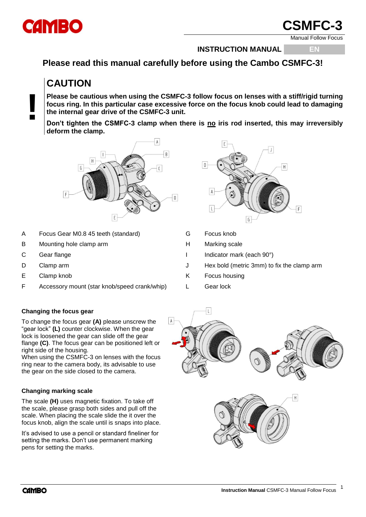

**!**

Manual Follow Focus

**INSTRUCTION MANUAL EN**

## **Please read this manual carefully before using the Cambo CSMFC-3!**

# **CAUTION**

**Please be cautious when using the CSMFC-3 follow focus on lenses with a stiff/rigid turning focus ring. In this particular case excessive force on the focus knob could lead to damaging the internal gear drive of the CSMFC-3 unit.**

Don't tighten the CSMFC-3 clamp when there is no iris rod inserted, this may irreversibly **deform the clamp.**



- A Focus Gear M0.8 45 teeth (standard) G Focus knob
- B Mounting hole clamp arm H Marking scale
- 
- 
- 
- F Accessory mount (star knob/speed crank/whip) L Gear lock



- 
- 
- C Gear flange **I** Indicator mark (each 90°)
- D Clamp arm  $\cup$  Hex bold (metric 3mm) to fix the clamp arm
- E Clamp knob K Focus housing
	-

### **Changing the focus gear**

To change the focus gear **(A)** please unscrew the "gear lock" **(L)** counter clockwise. When the gear lock is loosened the gear can slide off the gear flange **(C)**. The focus gear can be positioned left or right side of the housing.

When using the CSMFC-3 on lenses with the focus ring near to the camera body, its advisable to use the gear on the side closed to the camera.

#### **Changing marking scale**

The scale **(H)** uses magnetic fixation. To take off the scale, please grasp both sides and pull off the scale. When placing the scale slide the it over the focus knob, align the scale until is snaps into place.

It's advised to use a pencil or standard fineliner for setting the marks. Don't use permanent marking pens for setting the marks.